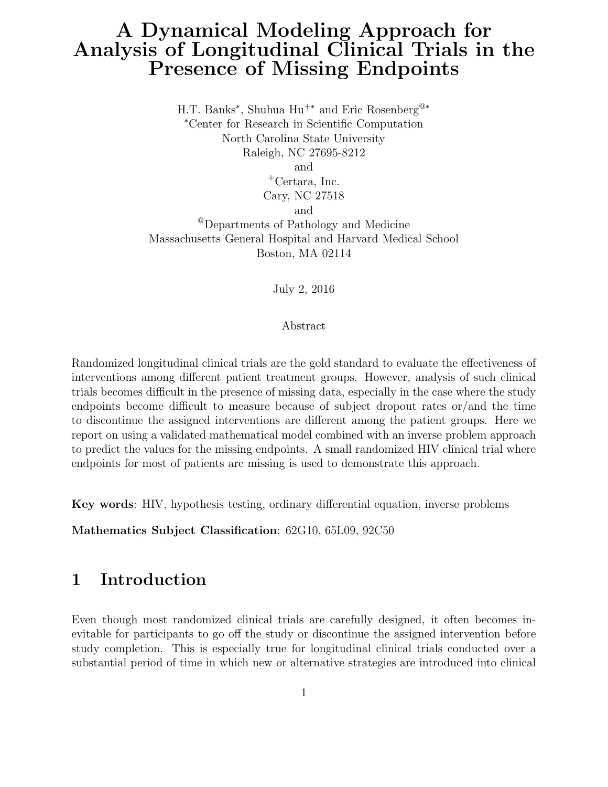# A Dynamical Modeling Approach for Analysis of Longitudinal Clinical Trials in the Presence of Missing Endpoints

H.T. Banks<sup>\*</sup>, Shuhua Hu<sup>+\*</sup> and Eric Rosenberg<sup>@\*</sup> <sup>∗</sup>Center for Research in Scientific Computation North Carolina State University Raleigh, NC 27695-8212 and <sup>+</sup>Certara, Inc. Cary, NC 27518 and @Departments of Pathology and Medicine Massachusetts General Hospital and Harvard Medical School Boston, MA 02114

July 2, 2016

Abstract

Randomized longitudinal clinical trials are the gold standard to evaluate the effectiveness of interventions among different patient treatment groups. However, analysis of such clinical trials becomes difficult in the presence of missing data, especially in the case where the study endpoints become difficult to measure because of subject dropout rates or/and the time to discontinue the assigned interventions are different among the patient groups. Here we report on using a validated mathematical model combined with an inverse problem approach to predict the values for the missing endpoints. A small randomized HIV clinical trial where endpoints for most of patients are missing is used to demonstrate this approach.

Key words: HIV, hypothesis testing, ordinary differential equation, inverse problems

Mathematics Subject Classification: 62G10, 65L09, 92C50

## 1 Introduction

Even though most randomized clinical trials are carefully designed, it often becomes inevitable for participants to go off the study or discontinue the assigned intervention before study completion. This is especially true for longitudinal clinical trials conducted over a substantial period of time in which new or alternative strategies are introduced into clinical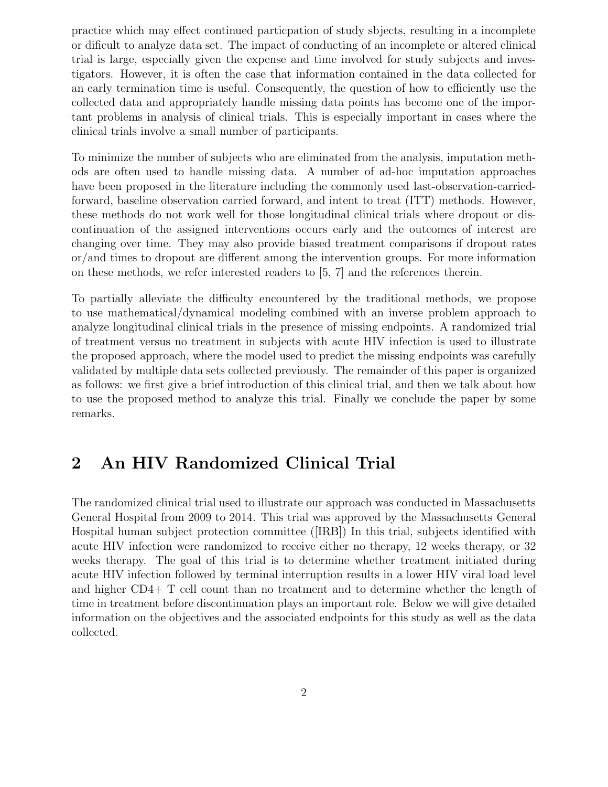practice which may effect continued particpation of study sbjects, resulting in a incomplete or dificult to analyze data set. The impact of conducting of an incomplete or altered clinical trial is large, especially given the expense and time involved for study subjects and investigators. However, it is often the case that information contained in the data collected for an early termination time is useful. Consequently, the question of how to efficiently use the collected data and appropriately handle missing data points has become one of the important problems in analysis of clinical trials. This is especially important in cases where the clinical trials involve a small number of participants.

To minimize the number of subjects who are eliminated from the analysis, imputation methods are often used to handle missing data. A number of ad-hoc imputation approaches have been proposed in the literature including the commonly used last-observation-carriedforward, baseline observation carried forward, and intent to treat (ITT) methods. However, these methods do not work well for those longitudinal clinical trials where dropout or discontinuation of the assigned interventions occurs early and the outcomes of interest are changing over time. They may also provide biased treatment comparisons if dropout rates or/and times to dropout are different among the intervention groups. For more information on these methods, we refer interested readers to [5, 7] and the references therein.

To partially alleviate the difficulty encountered by the traditional methods, we propose to use mathematical/dynamical modeling combined with an inverse problem approach to analyze longitudinal clinical trials in the presence of missing endpoints. A randomized trial of treatment versus no treatment in subjects with acute HIV infection is used to illustrate the proposed approach, where the model used to predict the missing endpoints was carefully validated by multiple data sets collected previously. The remainder of this paper is organized as follows: we first give a brief introduction of this clinical trial, and then we talk about how to use the proposed method to analyze this trial. Finally we conclude the paper by some remarks.

# 2 An HIV Randomized Clinical Trial

The randomized clinical trial used to illustrate our approach was conducted in Massachusetts General Hospital from 2009 to 2014. This trial was approved by the Massachusetts General Hospital human subject protection committee ([IRB]) In this trial, subjects identified with acute HIV infection were randomized to receive either no therapy, 12 weeks therapy, or 32 weeks therapy. The goal of this trial is to determine whether treatment initiated during acute HIV infection followed by terminal interruption results in a lower HIV viral load level and higher CD4+ T cell count than no treatment and to determine whether the length of time in treatment before discontinuation plays an important role. Below we will give detailed information on the objectives and the associated endpoints for this study as well as the data collected.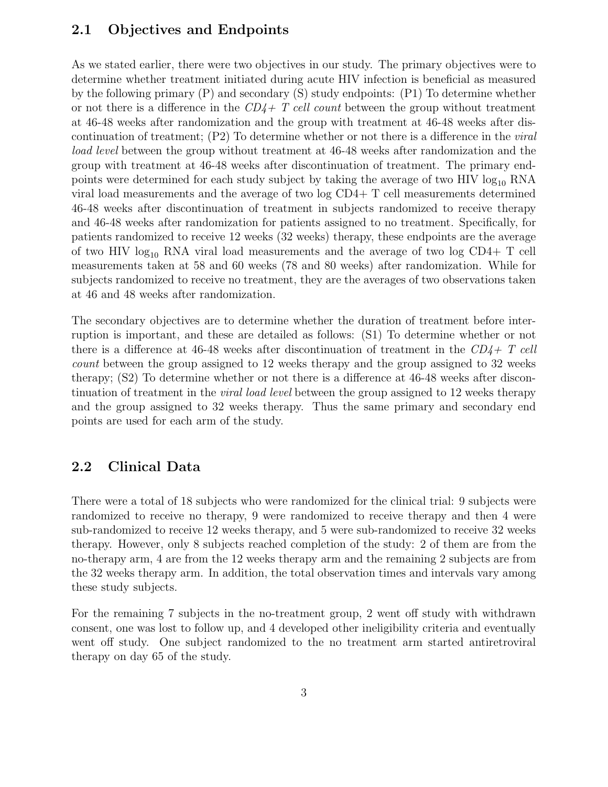#### 2.1 Objectives and Endpoints

As we stated earlier, there were two objectives in our study. The primary objectives were to determine whether treatment initiated during acute HIV infection is beneficial as measured by the following primary (P) and secondary (S) study endpoints: (P1) To determine whether or not there is a difference in the  $CD4+T$  cell count between the group without treatment at 46-48 weeks after randomization and the group with treatment at 46-48 weeks after discontinuation of treatment; (P2) To determine whether or not there is a difference in the viral load level between the group without treatment at 46-48 weeks after randomization and the group with treatment at 46-48 weeks after discontinuation of treatment. The primary endpoints were determined for each study subject by taking the average of two HIV  $log_{10}$  RNA viral load measurements and the average of two log CD4+ T cell measurements determined 46-48 weeks after discontinuation of treatment in subjects randomized to receive therapy and 46-48 weeks after randomization for patients assigned to no treatment. Specifically, for patients randomized to receive 12 weeks (32 weeks) therapy, these endpoints are the average of two HIV  $log_{10}$  RNA viral load measurements and the average of two  $log$  CD4+ T cell measurements taken at 58 and 60 weeks (78 and 80 weeks) after randomization. While for subjects randomized to receive no treatment, they are the averages of two observations taken at 46 and 48 weeks after randomization.

The secondary objectives are to determine whether the duration of treatment before interruption is important, and these are detailed as follows: (S1) To determine whether or not there is a difference at 46-48 weeks after discontinuation of treatment in the  $CD4+T$  cell count between the group assigned to 12 weeks therapy and the group assigned to 32 weeks therapy; (S2) To determine whether or not there is a difference at 46-48 weeks after discontinuation of treatment in the *viral load level* between the group assigned to 12 weeks therapy and the group assigned to 32 weeks therapy. Thus the same primary and secondary end points are used for each arm of the study.

### 2.2 Clinical Data

There were a total of 18 subjects who were randomized for the clinical trial: 9 subjects were randomized to receive no therapy, 9 were randomized to receive therapy and then 4 were sub-randomized to receive 12 weeks therapy, and 5 were sub-randomized to receive 32 weeks therapy. However, only 8 subjects reached completion of the study: 2 of them are from the no-therapy arm, 4 are from the 12 weeks therapy arm and the remaining 2 subjects are from the 32 weeks therapy arm. In addition, the total observation times and intervals vary among these study subjects.

For the remaining 7 subjects in the no-treatment group, 2 went off study with withdrawn consent, one was lost to follow up, and 4 developed other ineligibility criteria and eventually went off study. One subject randomized to the no treatment arm started antiretroviral therapy on day 65 of the study.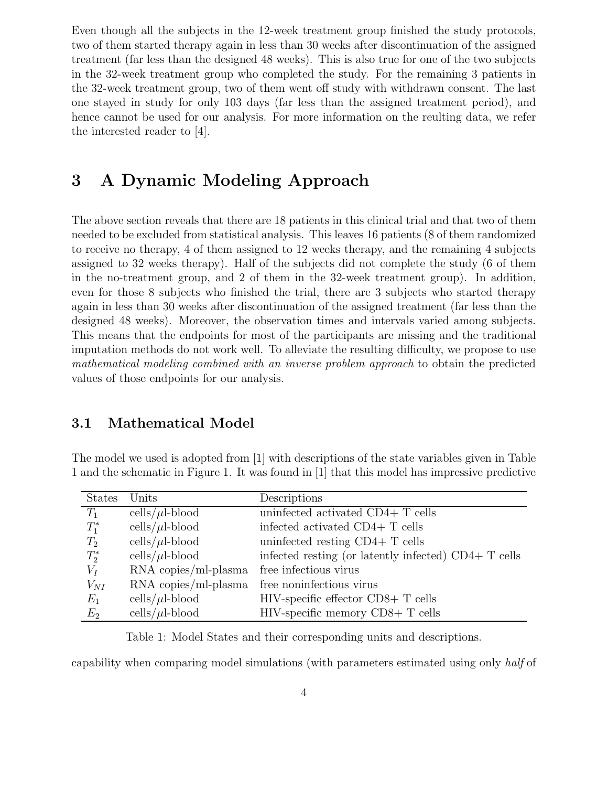Even though all the subjects in the 12-week treatment group finished the study protocols, two of them started therapy again in less than 30 weeks after discontinuation of the assigned treatment (far less than the designed 48 weeks). This is also true for one of the two subjects in the 32-week treatment group who completed the study. For the remaining 3 patients in the 32-week treatment group, two of them went off study with withdrawn consent. The last one stayed in study for only 103 days (far less than the assigned treatment period), and hence cannot be used for our analysis. For more information on the reulting data, we refer the interested reader to [4].

## 3 A Dynamic Modeling Approach

The above section reveals that there are 18 patients in this clinical trial and that two of them needed to be excluded from statistical analysis. This leaves 16 patients (8 of them randomized to receive no therapy, 4 of them assigned to 12 weeks therapy, and the remaining 4 subjects assigned to 32 weeks therapy). Half of the subjects did not complete the study (6 of them in the no-treatment group, and 2 of them in the 32-week treatment group). In addition, even for those 8 subjects who finished the trial, there are 3 subjects who started therapy again in less than 30 weeks after discontinuation of the assigned treatment (far less than the designed 48 weeks). Moreover, the observation times and intervals varied among subjects. This means that the endpoints for most of the participants are missing and the traditional imputation methods do not work well. To alleviate the resulting difficulty, we propose to use mathematical modeling combined with an inverse problem approach to obtain the predicted values of those endpoints for our analysis.

### 3.1 Mathematical Model

The model we used is adopted from [1] with descriptions of the state variables given in Table 1 and the schematic in Figure 1. It was found in [1] that this model has impressive predictive

| <b>States</b> | Units                  | Descriptions                                          |
|---------------|------------------------|-------------------------------------------------------|
| $T_1$         | cells/ $\mu$ l-blood   | uninfected activated CD4+ T cells                     |
| $T_1^*$       | cells/ $\mu$ l-blood   | infected activated CD4+ T cells                       |
| $T_2$         | cells/ $\mu$ l-blood   | uninfected resting $CD4+T$ cells                      |
| $T_2^*$       | cells/ $\mu$ l-blood   | infected resting (or latently infected) $CD4+T$ cells |
| $V_I$         | $RNA$ copies/ml-plasma | free infectious virus                                 |
| $V_{NI}$      | RNA copies/ml-plasma   | free noninfectious virus                              |
| $E_1$         | cells/ $\mu$ l-blood   | $HIV$ -specific effector $CD8+T$ cells                |
| $E_2$         | cells/ $\mu$ l-blood   | $HIV$ -specific memory $CD8+T$ cells                  |

Table 1: Model States and their corresponding units and descriptions.

capability when comparing model simulations (with parameters estimated using only half of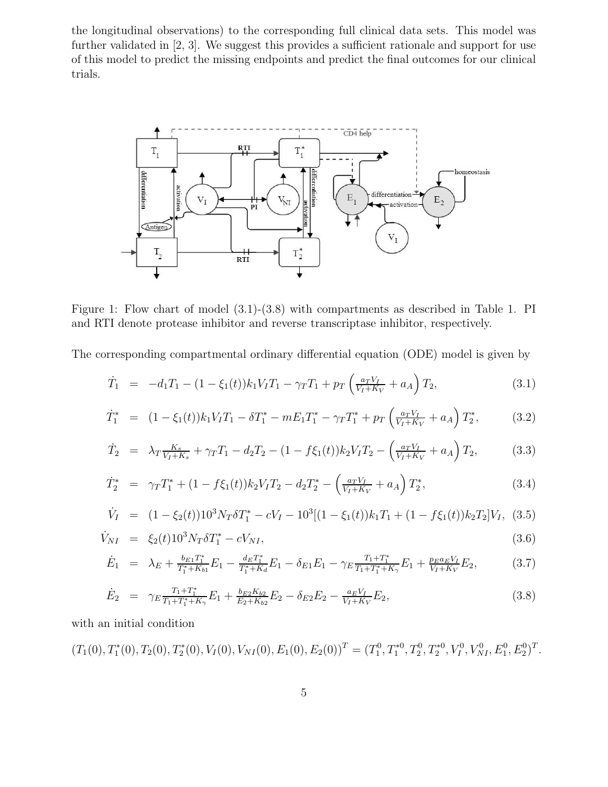the longitudinal observations) to the corresponding full clinical data sets. This model was further validated in [2, 3]. We suggest this provides a sufficient rationale and support for use of this model to predict the missing endpoints and predict the final outcomes for our clinical trials.



Figure 1: Flow chart of model (3.1)-(3.8) with compartments as described in Table 1. PI and RTI denote protease inhibitor and reverse transcriptase inhibitor, respectively.

The corresponding compartmental ordinary differential equation (ODE) model is given by

$$
\dot{T}_1 = -d_1 T_1 - (1 - \xi_1(t)) k_1 V_I T_1 - \gamma_T T_1 + p_T \left( \frac{a_T V_I}{V_I + K_V} + a_A \right) T_2, \tag{3.1}
$$

$$
\dot{T}_1^* = (1 - \xi_1(t))k_1 V_I T_1 - \delta T_1^* - m E_1 T_1^* - \gamma_T T_1^* + p_T \left(\frac{a_T V_I}{V_I + K_V} + a_A\right) T_2^*,
$$
\n(3.2)

$$
\dot{T}_2 = \lambda_T \frac{K_s}{V_I + K_s} + \gamma_T T_1 - d_2 T_2 - (1 - f \xi_1(t)) k_2 V_I T_2 - \left(\frac{a_T V_I}{V_I + K_V} + a_A\right) T_2,\tag{3.3}
$$

$$
\dot{T}_2^* = \gamma_T T_1^* + (1 - f\xi_1(t))k_2 V_T T_2 - d_2 T_2^* - \left(\frac{a_T V_L}{V_T + K_V} + a_A\right) T_2^*,\tag{3.4}
$$

$$
\dot{V}_I = (1 - \xi_2(t))10^3 N_T \delta T_1^* - cV_I - 10^3 [(1 - \xi_1(t))k_1 T_1 + (1 - f\xi_1(t))k_2 T_2]V_I, (3.5)
$$

$$
\dot{V}_{NI} = \xi_2(t) 10^3 N_T \delta T_1^* - cV_{NI}, \qquad (3.6)
$$

$$
\dot{E}_1 = \lambda_E + \frac{b_{E1}T_1^*}{T_1^* + K_{b1}} E_1 - \frac{d_E T_1^*}{T_1^* + K_d} E_1 - \delta_{E1} E_1 - \gamma_E \frac{T_1 + T_1^*}{T_1 + T_1^* + K_\gamma} E_1 + \frac{p_E a_E V_I}{V_I + K_V} E_2,\tag{3.7}
$$

$$
\dot{E}_2 = \gamma_E \frac{T_1 + T_1^*}{T_1 + T_1^* + K_\gamma} E_1 + \frac{b_{E2} K_{b2}}{E_2 + K_{b2}} E_2 - \delta_{E2} E_2 - \frac{a_E V_I}{V_I + K_V} E_2, \tag{3.8}
$$

with an initial condition

$$
(T_1(0), T_1^*(0), T_2(0), T_2^*(0), V_I(0), V_{NI}(0), E_1(0), E_2(0))^T = (T_1^0, T_1^{*0}, T_2^0, T_2^{*0}, V_I^0, V_{NI}^0, E_1^0, E_2^0)^T.
$$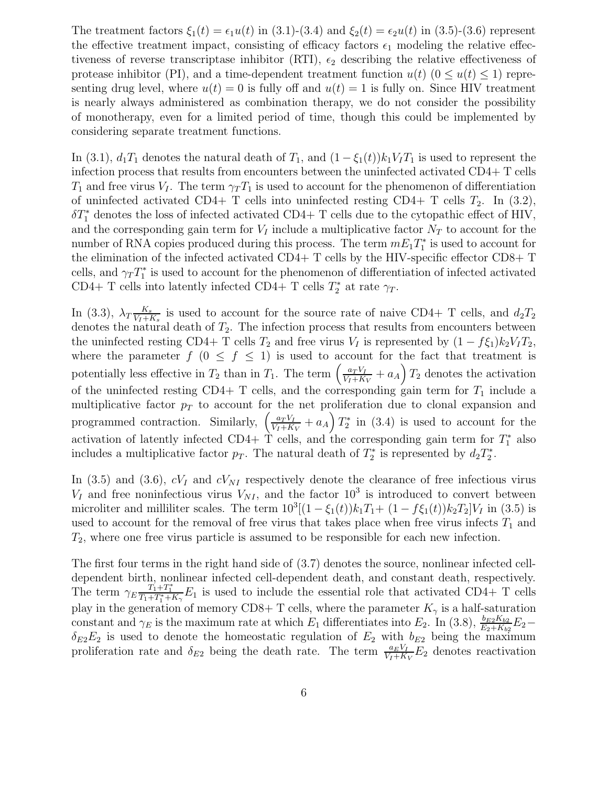The treatment factors  $\xi_1(t) = \epsilon_1 u(t)$  in (3.1)-(3.4) and  $\xi_2(t) = \epsilon_2 u(t)$  in (3.5)-(3.6) represent the effective treatment impact, consisting of efficacy factors  $\epsilon_1$  modeling the relative effectiveness of reverse transcriptase inhibitor (RTI),  $\epsilon_2$  describing the relative effectiveness of protease inhibitor (PI), and a time-dependent treatment function  $u(t)$  ( $0 \le u(t) \le 1$ ) representing drug level, where  $u(t) = 0$  is fully off and  $u(t) = 1$  is fully on. Since HIV treatment is nearly always administered as combination therapy, we do not consider the possibility of monotherapy, even for a limited period of time, though this could be implemented by considering separate treatment functions.

In (3.1),  $d_1T_1$  denotes the natural death of  $T_1$ , and  $(1 - \xi_1(t))k_1V_1T_1$  is used to represent the infection process that results from encounters between the uninfected activated CD4+ T cells  $T_1$  and free virus  $V_I$ . The term  $\gamma_T T_1$  is used to account for the phenomenon of differentiation of uninfected activated CD4+ T cells into uninfected resting CD4+ T cells  $T_2$ . In (3.2),  $\delta T_1^*$  denotes the loss of infected activated CD4+ T cells due to the cytopathic effect of HIV, and the corresponding gain term for  $V_I$  include a multiplicative factor  $N_T$  to account for the number of RNA copies produced during this process. The term  $mE_1T_1^*$  $j^*$  is used to account for the elimination of the infected activated CD4+ T cells by the HIV-specific effector CD8+ T cells, and  $\gamma_T T_1^*$ <sup>\*</sup>/<sub>1</sub> is used to account for the phenomenon of differentiation of infected activated CD4+ T cells into latently infected CD4+ T cells  $T_2^*$  $x_2^*$  at rate  $\gamma_T$ .

In (3.3),  $\lambda_T \frac{K_s}{V_I + K_s}$  is used to account for the source rate of naive CD4+ T cells, and  $d_2T_2$ denotes the natural death of  $T_2$ . The infection process that results from encounters between the uninfected resting CD4+ T cells  $T_2$  and free virus  $V_I$  is represented by  $(1 - f \xi_1) k_2 V_I T_2$ , where the parameter  $f$  ( $0 \leq f \leq 1$ ) is used to account for the fact that treatment is potentially less effective in  $T_2$  than in  $T_1$ . The term  $\left(\frac{a_T V_I}{V_I + K}\right)$  $\frac{a_T V_I}{V_I + K_V} + a_A \right) T_2$  denotes the activation of the uninfected resting CD4+ T cells, and the corresponding gain term for  $T_1$  include a multiplicative factor  $p_T$  to account for the net proliferation due to clonal expansion and programmed contraction. Similarly,  $\left(\frac{a_T V_I}{V_I + K}\right)$  $\frac{a_T V_I}{V_I + K_V} + a_A \right) T_2^*$  $i_2^*$  in (3.4) is used to account for the activation of latently infected CD4+  $\hat{T}$  cells, and the corresponding gain term for  $T_1^*$  also includes a multiplicative factor  $p_T$ . The natural death of  $T_2^*$ <sup>\*</sup>/<sub>2</sub> is represented by  $d_2T_2^*$  $_2^*$  .

In (3.5) and (3.6),  $cV_I$  and  $cV_{NI}$  respectively denote the clearance of free infectious virus  $V_I$  and free noninfectious virus  $V_{NI}$ , and the factor  $10^3$  is introduced to convert between microliter and milliliter scales. The term  $10^3[(1-\xi_1(t))k_1T_1+(1-f\xi_1(t))k_2T_2]V_I$  in (3.5) is used to account for the removal of free virus that takes place when free virus infects  $T_1$  and  $T_2$ , where one free virus particle is assumed to be responsible for each new infection.

The first four terms in the right hand side of (3.7) denotes the source, nonlinear infected celldependent birth, nonlinear infected cell-dependent death, and constant death, respectively. The term  $\gamma_E \frac{T_1+T_1^*}{T_1+T_1^*+K_\gamma}E_1$  is used to include the essential role that activated CD4+ T cells play in the generation of memory CD8+ T cells, where the parameter  $K_{\gamma}$  is a half-saturation constant and  $\gamma_E$  is the maximum rate at which  $E_1$  differentiates into  $E_2$ . In (3.8),  $\frac{b_{E2}K_{b2}}{E_2+K_{b2}}E_2$  $\delta_{E2}E_2$  is used to denote the homeostatic regulation of  $E_2$  with  $b_{E2}$  being the maximum proliferation rate and  $\delta_{E2}$  being the death rate. The term  $\frac{a_E V_I}{V_I + K_V} E_2$  denotes reactivation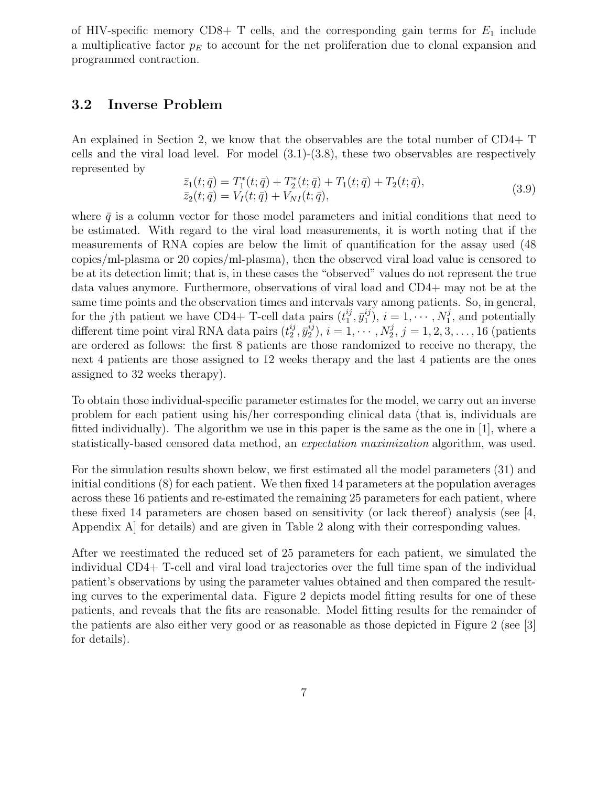of HIV-specific memory CD8+ T cells, and the corresponding gain terms for  $E_1$  include a multiplicative factor  $p_E$  to account for the net proliferation due to clonal expansion and programmed contraction.

#### 3.2 Inverse Problem

An explained in Section 2, we know that the observables are the total number of CD4+ T cells and the viral load level. For model  $(3.1)-(3.8)$ , these two observables are respectively represented by

$$
\begin{aligned} \bar{z}_1(t; \bar{q}) &= T_1^*(t; \bar{q}) + T_2^*(t; \bar{q}) + T_1(t; \bar{q}) + T_2(t; \bar{q}), \\ \bar{z}_2(t; \bar{q}) &= V_I(t; \bar{q}) + V_{NI}(t; \bar{q}), \end{aligned} \tag{3.9}
$$

where  $\bar{q}$  is a column vector for those model parameters and initial conditions that need to be estimated. With regard to the viral load measurements, it is worth noting that if the measurements of RNA copies are below the limit of quantification for the assay used (48 copies/ml-plasma or 20 copies/ml-plasma), then the observed viral load value is censored to be at its detection limit; that is, in these cases the "observed" values do not represent the true data values anymore. Furthermore, observations of viral load and CD4+ may not be at the same time points and the observation times and intervals vary among patients. So, in general, for the jth patient we have CD4+ T-cell data pairs  $(t_1^{ij}, \bar{y}_1^{ij})$ ,  $i = 1, \dots, N_1^j$ , and potentially different time point viral RNA data pairs  $(t_2^{ij}, \bar{y}_2^{ij}), i = 1, \dots, N_2^j, j = 1, 2, 3, \dots, 16$  (patients are ordered as follows: the first 8 patients are those randomized to receive no therapy, the next 4 patients are those assigned to 12 weeks therapy and the last 4 patients are the ones assigned to 32 weeks therapy).

To obtain those individual-specific parameter estimates for the model, we carry out an inverse problem for each patient using his/her corresponding clinical data (that is, individuals are fitted individually). The algorithm we use in this paper is the same as the one in [1], where a statistically-based censored data method, an expectation maximization algorithm, was used.

For the simulation results shown below, we first estimated all the model parameters (31) and initial conditions (8) for each patient. We then fixed 14 parameters at the population averages across these 16 patients and re-estimated the remaining 25 parameters for each patient, where these fixed 14 parameters are chosen based on sensitivity (or lack thereof) analysis (see  $[4,$ Appendix A] for details) and are given in Table 2 along with their corresponding values.

After we reestimated the reduced set of 25 parameters for each patient, we simulated the individual CD4+ T-cell and viral load trajectories over the full time span of the individual patient's observations by using the parameter values obtained and then compared the resulting curves to the experimental data. Figure 2 depicts model fitting results for one of these patients, and reveals that the fits are reasonable. Model fitting results for the remainder of the patients are also either very good or as reasonable as those depicted in Figure 2 (see [3] for details).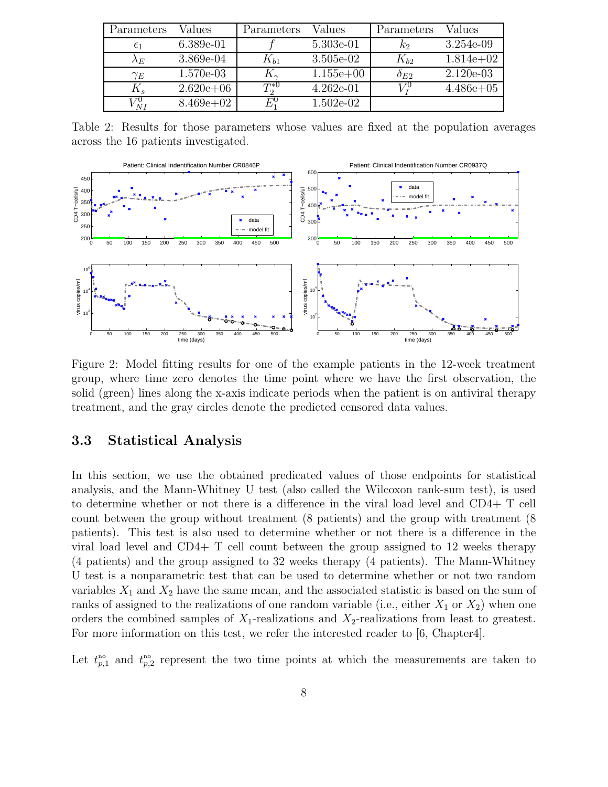| Parameters            | Values        | Parameters         | Values      | Parameters    | Values      |
|-----------------------|---------------|--------------------|-------------|---------------|-------------|
| $\epsilon_1$          | $6.389e-01$   |                    | 5.303e-01   | $k_2$         | $3.254e-09$ |
| $\lambda_E$           | 3.869e-04     | $\Lambda_{b1}$     | $3.505e-02$ | $K_{b2}$      | $1.814e+02$ |
| $\gamma_E$            | 1.570e-03     | $K_{\sim}$         | $1.155e+00$ | $\delta_{E2}$ | $2.120e-03$ |
| $K_s$                 | $2.620e + 06$ | $T^{*0}$           | $4.262e-01$ |               | $4.486e+05$ |
| 7 U<br>$\overline{M}$ | $8.469e+02$   | $F^{\text{\rm U}}$ | $1.502e-02$ |               |             |

Table 2: Results for those parameters whose values are fixed at the population averages across the 16 patients investigated.



Figure 2: Model fitting results for one of the example patients in the 12-week treatment group, where time zero denotes the time point where we have the first observation, the solid (green) lines along the x-axis indicate periods when the patient is on antiviral therapy treatment, and the gray circles denote the predicted censored data values.

#### 3.3 Statistical Analysis

In this section, we use the obtained predicated values of those endpoints for statistical analysis, and the Mann-Whitney U test (also called the Wilcoxon rank-sum test), is used to determine whether or not there is a difference in the viral load level and CD4+ T cell count between the group without treatment (8 patients) and the group with treatment (8 patients). This test is also used to determine whether or not there is a difference in the viral load level and CD4+ T cell count between the group assigned to 12 weeks therapy (4 patients) and the group assigned to 32 weeks therapy (4 patients). The Mann-Whitney U test is a nonparametric test that can be used to determine whether or not two random variables  $X_1$  and  $X_2$  have the same mean, and the associated statistic is based on the sum of ranks of assigned to the realizations of one random variable (i.e., either  $X_1$  or  $X_2$ ) when one orders the combined samples of  $X_1$ -realizations and  $X_2$ -realizations from least to greatest. For more information on this test, we refer the interested reader to [6, Chapter4].

Let  $t_{p,1}^{\text{no}}$  and  $t_{p,2}^{\text{no}}$  represent the two time points at which the measurements are taken to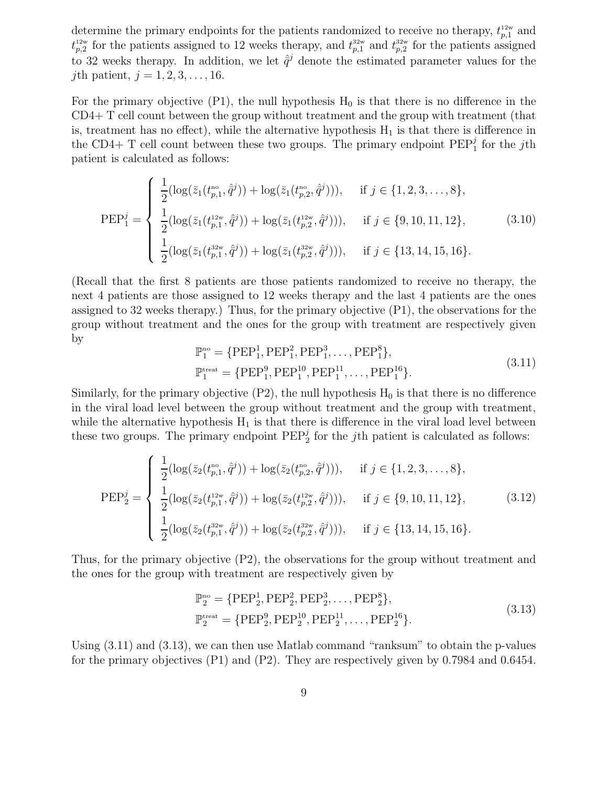determine the primary endpoints for the patients randomized to receive no therapy,  $t_{p,1}^{12w}$  and  $t_{p,2}^{12w}$  for the patients assigned to 12 weeks therapy, and  $t_{p,1}^{32w}$  and  $t_{p,2}^{32w}$  for the patients assigned to 32 weeks therapy. In addition, we let  $\hat{q}^j$  denote the estimated parameter values for the *j*th patient,  $j = 1, 2, 3, ..., 16$ .

For the primary objective  $(P1)$ , the null hypothesis  $H_0$  is that there is no difference in the CD4+ T cell count between the group without treatment and the group with treatment (that is, treatment has no effect), while the alternative hypothesis  $H_1$  is that there is difference in the CD4+ T cell count between these two groups. The primary endpoint  $PEP_1^j$  for the jth patient is calculated as follows:

$$
\text{PEP}_1^j = \begin{cases} \frac{1}{2} (\log(\bar{z}_1(t_{p,1}^{\text{no}}, \hat{q}^j)) + \log(\bar{z}_1(t_{p,2}^{\text{no}}, \hat{q}^j))), & \text{if } j \in \{1, 2, 3, \dots, 8\},\\ \frac{1}{2} (\log(\bar{z}_1(t_{p,1}^{12w}, \hat{q}^j)) + \log(\bar{z}_1(t_{p,2}^{12w}, \hat{q}^j))), & \text{if } j \in \{9, 10, 11, 12\},\\ \frac{1}{2} (\log(\bar{z}_1(t_{p,1}^{32w}, \hat{q}^j)) + \log(\bar{z}_1(t_{p,2}^{32w}, \hat{q}^j))), & \text{if } j \in \{13, 14, 15, 16\}. \end{cases} \tag{3.10}
$$

(Recall that the first 8 patients are those patients randomized to receive no therapy, the next 4 patients are those assigned to 12 weeks therapy and the last 4 patients are the ones assigned to 32 weeks therapy.) Thus, for the primary objective (P1), the observations for the group without treatment and the ones for the group with treatment are respectively given by

$$
\mathbb{P}_{1}^{\text{no}} = \{ \text{PEP}_{1}^{1}, \text{PEP}_{1}^{2}, \text{PEP}_{1}^{3}, \dots, \text{PEP}_{1}^{8} \},
$$
  

$$
\mathbb{P}_{1}^{\text{treat}} = \{ \text{PEP}_{1}^{9}, \text{PEP}_{1}^{10}, \text{PEP}_{1}^{11}, \dots, \text{PEP}_{1}^{16} \}. \tag{3.11}
$$

Similarly, for the primary objective  $(P2)$ , the null hypothesis  $H_0$  is that there is no difference in the viral load level between the group without treatment and the group with treatment, while the alternative hypothesis  $H_1$  is that there is difference in the viral load level between these two groups. The primary endpoint  $PEP_2^j$  for the *j*th patient is calculated as follows:

$$
\text{PEP}_2^j = \begin{cases} \frac{1}{2} (\log(\bar{z}_2(t_{p,1}^{\text{no}}, \hat{q}^j)) + \log(\bar{z}_2(t_{p,2}^{\text{no}}, \hat{q}^j))), & \text{if } j \in \{1, 2, 3, \dots, 8\},\\ \frac{1}{2} (\log(\bar{z}_2(t_{p,1}^{12w}, \hat{q}^j)) + \log(\bar{z}_2(t_{p,2}^{12w}, \hat{q}^j))), & \text{if } j \in \{9, 10, 11, 12\},\\ \frac{1}{2} (\log(\bar{z}_2(t_{p,1}^{32w}, \hat{q}^j)) + \log(\bar{z}_2(t_{p,2}^{32w}, \hat{q}^j))), & \text{if } j \in \{13, 14, 15, 16\}. \end{cases} \tag{3.12}
$$

Thus, for the primary objective (P2), the observations for the group without treatment and the ones for the group with treatment are respectively given by

$$
\mathbb{P}_{2}^{\text{no}} = \{ \text{PEP}_{2}^{1}, \text{PEP}_{2}^{2}, \text{PEP}_{2}^{3}, \dots, \text{PEP}_{2}^{8} \},
$$
  
\n
$$
\mathbb{P}_{2}^{\text{treat}} = \{ \text{PEP}_{2}^{9}, \text{PEP}_{2}^{10}, \text{PEP}_{2}^{11}, \dots, \text{PEP}_{2}^{16} \}.
$$
\n(3.13)

Using (3.11) and (3.13), we can then use Matlab command "ranksum" to obtain the p-values for the primary objectives (P1) and (P2). They are respectively given by 0.7984 and 0.6454.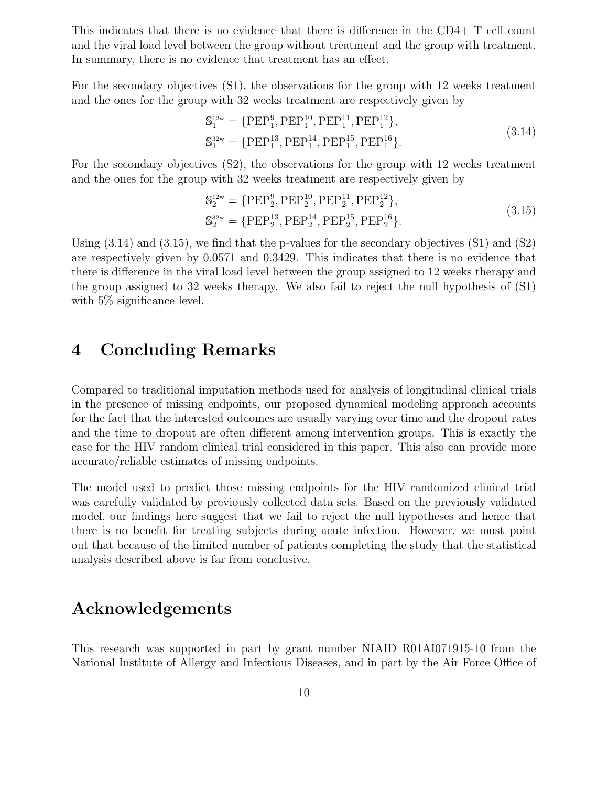This indicates that there is no evidence that there is difference in the CD4+ T cell count and the viral load level between the group without treatment and the group with treatment. In summary, there is no evidence that treatment has an effect.

For the secondary objectives (S1), the observations for the group with 12 weeks treatment and the ones for the group with 32 weeks treatment are respectively given by

$$
S_1^{12w} = \{ PEP_1^9, PEP_1^{10}, PEP_1^{11}, PEP_1^{12} \},
$$
  
\n
$$
S_1^{32w} = \{ PEP_1^{13}, PEP_1^{14}, PEP_1^{15}, PEP_1^{16} \}.
$$
\n(3.14)

For the secondary objectives (S2), the observations for the group with 12 weeks treatment and the ones for the group with 32 weeks treatment are respectively given by

$$
S_2^{12w} = \{ PEP_2^9, PEP_2^{10}, PEP_2^{11}, PEP_2^{12} \},
$$
  
\n
$$
S_2^{32w} = \{ PEP_2^{13}, PEP_2^{14}, PEP_2^{15}, PEP_2^{16} \}. \tag{3.15}
$$

Using  $(3.14)$  and  $(3.15)$ , we find that the p-values for the secondary objectives  $(S1)$  and  $(S2)$ are respectively given by 0.0571 and 0.3429. This indicates that there is no evidence that there is difference in the viral load level between the group assigned to 12 weeks therapy and the group assigned to 32 weeks therapy. We also fail to reject the null hypothesis of (S1) with 5\% significance level.

### 4 Concluding Remarks

Compared to traditional imputation methods used for analysis of longitudinal clinical trials in the presence of missing endpoints, our proposed dynamical modeling approach accounts for the fact that the interested outcomes are usually varying over time and the dropout rates and the time to dropout are often different among intervention groups. This is exactly the case for the HIV random clinical trial considered in this paper. This also can provide more accurate/reliable estimates of missing endpoints.

The model used to predict those missing endpoints for the HIV randomized clinical trial was carefully validated by previously collected data sets. Based on the previously validated model, our findings here suggest that we fail to reject the null hypotheses and hence that there is no benefit for treating subjects during acute infection. However, we must point out that because of the limited number of patients completing the study that the statistical analysis described above is far from conclusive.

### Acknowledgements

This research was supported in part by grant number NIAID R01AI071915-10 from the National Institute of Allergy and Infectious Diseases, and in part by the Air Force Office of